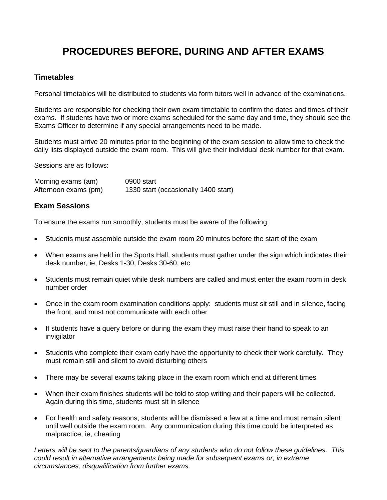# **PROCEDURES BEFORE, DURING AND AFTER EXAMS**

## **Timetables**

Personal timetables will be distributed to students via form tutors well in advance of the examinations.

Students are responsible for checking their own exam timetable to confirm the dates and times of their exams. If students have two or more exams scheduled for the same day and time, they should see the Exams Officer to determine if any special arrangements need to be made.

Students must arrive 20 minutes prior to the beginning of the exam session to allow time to check the daily lists displayed outside the exam room. This will give their individual desk number for that exam.

Sessions are as follows:

| Morning exams (am)   | 0900 start                           |
|----------------------|--------------------------------------|
| Afternoon exams (pm) | 1330 start (occasionally 1400 start) |

# **Exam Sessions**

To ensure the exams run smoothly, students must be aware of the following:

- Students must assemble outside the exam room 20 minutes before the start of the exam
- When exams are held in the Sports Hall, students must gather under the sign which indicates their desk number, ie, Desks 1-30, Desks 30-60, etc
- Students must remain quiet while desk numbers are called and must enter the exam room in desk number order
- Once in the exam room examination conditions apply: students must sit still and in silence, facing the front, and must not communicate with each other
- If students have a query before or during the exam they must raise their hand to speak to an invigilator
- Students who complete their exam early have the opportunity to check their work carefully. They must remain still and silent to avoid disturbing others
- There may be several exams taking place in the exam room which end at different times
- When their exam finishes students will be told to stop writing and their papers will be collected. Again during this time, students must sit in silence
- For health and safety reasons, students will be dismissed a few at a time and must remain silent until well outside the exam room. Any communication during this time could be interpreted as malpractice, ie, cheating

*Letters will be sent to the parents/guardians of any students who do not follow these guidelines. This could result in alternative arrangements being made for subsequent exams or, in extreme circumstances, disqualification from further exams.*